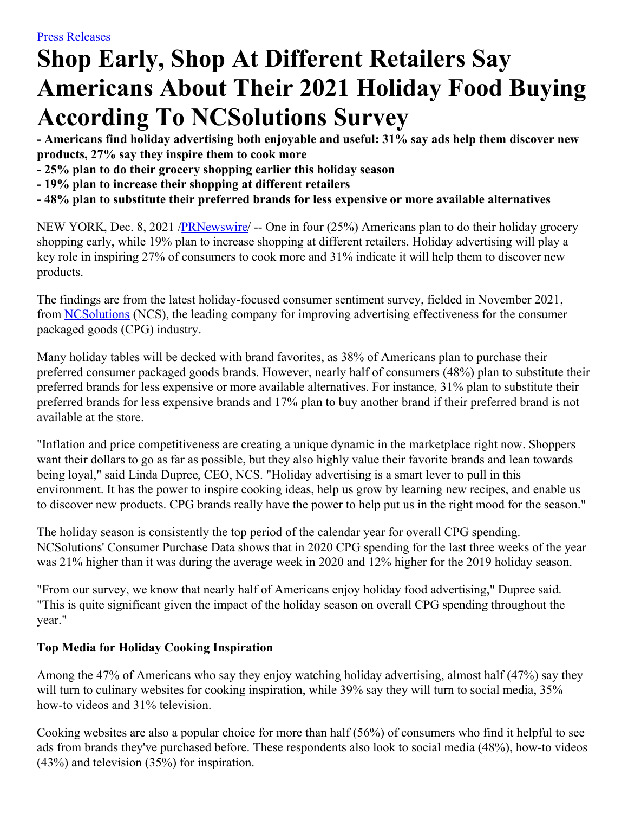# **Shop Early, Shop At Different Retailers Say Americans About Their 2021 Holiday Food Buying According To NCSolutions Survey**

**- Americans find holiday advertising both enjoyable and useful: 31% say ads help them discover new products, 27% say they inspire them to cook more**

- **- 25% plan to do their grocery shopping earlier this holiday season**
- **- 19% plan to increase their shopping at different retailers**
- **- 48% plan to substitute their preferred brands for less expensive or more available alternatives**

NEW YORK, Dec. 8, 2021 [/PRNewswire](http://www.prnewswire.com/)/ -- One in four (25%) Americans plan to do their holiday grocery shopping early, while 19% plan to increase shopping at different retailers. Holiday advertising will play a key role in inspiring 27% of consumers to cook more and 31% indicate it will help them to discover new products.

The findings are from the latest holiday-focused consumer sentiment survey, fielded in November 2021, from [NCSolutions](https://c212.net/c/link/?t=0&l=en&o=3382799-1&h=923561460&u=https%3A%2F%2Fwww.ncsolutions.com%2Fpress-media-kit%2F&a=NCSolutions) (NCS), the leading company for improving advertising effectiveness for the consumer packaged goods (CPG) industry.

Many holiday tables will be decked with brand favorites, as 38% of Americans plan to purchase their preferred consumer packaged goods brands. However, nearly half of consumers (48%) plan to substitute their preferred brands for less expensive or more available alternatives. For instance, 31% plan to substitute their preferred brands for less expensive brands and 17% plan to buy another brand if their preferred brand is not available at the store.

"Inflation and price competitiveness are creating a unique dynamic in the marketplace right now. Shoppers want their dollars to go as far as possible, but they also highly value their favorite brands and lean towards being loyal," said Linda Dupree, CEO, NCS. "Holiday advertising is a smart lever to pull in this environment. It has the power to inspire cooking ideas, help us grow by learning new recipes, and enable us to discover new products. CPG brands really have the power to help put us in the right mood for the season."

The holiday season is consistently the top period of the calendar year for overall CPG spending. NCSolutions' Consumer Purchase Data shows that in 2020 CPG spending for the last three weeks of the year was 21% higher than it was during the average week in 2020 and 12% higher for the 2019 holiday season.

"From our survey, we know that nearly half of Americans enjoy holiday food advertising," Dupree said. "This is quite significant given the impact of the holiday season on overall CPG spending throughout the year."

## **Top Media for Holiday Cooking Inspiration**

Among the 47% of Americans who say they enjoy watching holiday advertising, almost half (47%) say they will turn to culinary websites for cooking inspiration, while 39% say they will turn to social media, 35% how-to videos and 31% television.

Cooking websites are also a popular choice for more than half (56%) of consumers who find it helpful to see ads from brands they've purchased before. These respondents also look to social media (48%), how-to videos (43%) and television (35%) for inspiration.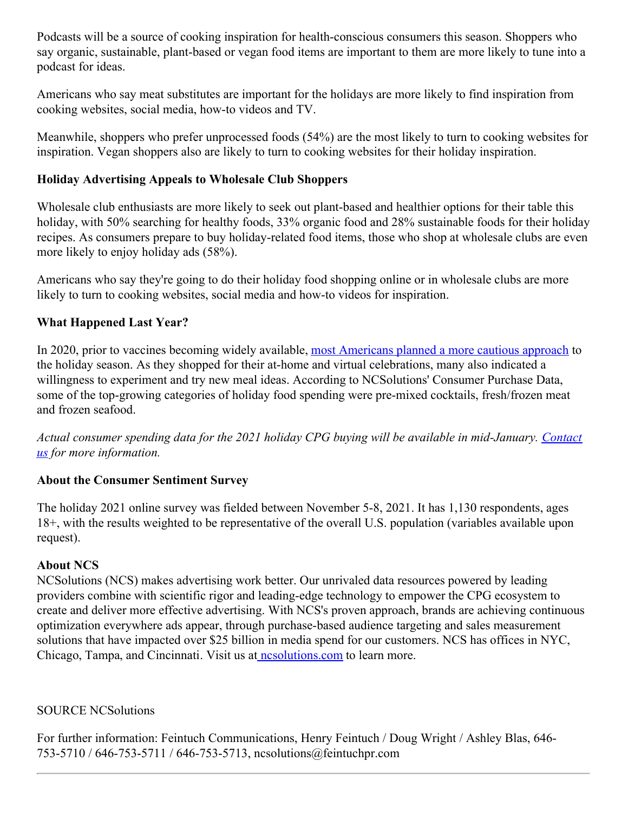Podcasts will be a source of cooking inspiration for health-conscious consumers this season. Shoppers who say organic, sustainable, plant-based or vegan food items are important to them are more likely to tune into a podcast for ideas.

Americans who say meat substitutes are important for the holidays are more likely to find inspiration from cooking websites, social media, how-to videos and TV.

Meanwhile, shoppers who prefer unprocessed foods (54%) are the most likely to turn to cooking websites for inspiration. Vegan shoppers also are likely to turn to cooking websites for their holiday inspiration.

## **Holiday Advertising Appeals to Wholesale Club Shoppers**

Wholesale club enthusiasts are more likely to seek out plant-based and healthier options for their table this holiday, with 50% searching for healthy foods, 33% organic food and 28% sustainable foods for their holiday recipes. As consumers prepare to buy holiday-related food items, those who shop at wholesale clubs are even more likely to enjoy holiday ads (58%).

Americans who say they're going to do their holiday food shopping online or in wholesale clubs are more likely to turn to cooking websites, social media and how-to videos for inspiration.

## **What Happened Last Year?**

In 2020, prior to vaccines becoming widely available, most [Americans](https://c212.net/c/link/?t=0&l=en&o=3382799-1&h=980166538&u=https%3A%2F%2Fwww.ncsolutions.com%2Fpress-and-media%2Fmost-americans-plan-to-celebrate-the-upcoming-winter-holidays-at-home-in-small-groups-and-virtually%2F%23more-5611&a=most+Americans+planned+a+more+cautious+approach) planned a more cautious approach to the holiday season. As they shopped for their at-home and virtual celebrations, many also indicated a willingness to experiment and try new meal ideas. According to NCSolutions' Consumer Purchase Data, some of the top-growing categories of holiday food spending were pre-mixed cocktails, fresh/frozen meat and frozen seafood.

*Actual consumer spending data for the 2021 holiday CPG buying will be available in [mid-January.](https://c212.net/c/link/?t=0&l=en&o=3382799-1&h=2063295728&u=https%3A%2F%2Fwww.ncsolutions.com%2Fcontact%2F&a=Contact+us) Contact us for more information.*

## **About the Consumer Sentiment Survey**

The holiday 2021 online survey was fielded between November 5-8, 2021. It has 1,130 respondents, ages 18+, with the results weighted to be representative of the overall U.S. population (variables available upon request).

## **About NCS**

NCSolutions (NCS) makes advertising work better. Our unrivaled data resources powered by leading providers combine with scientific rigor and leading-edge technology to empower the CPG ecosystem to create and deliver more effective advertising. With NCS's proven approach, brands are achieving continuous optimization everywhere ads appear, through purchase-based audience targeting and sales measurement solutions that have impacted over \$25 billion in media spend for our customers. NCS has offices in NYC, Chicago, Tampa, and Cincinnati. Visit us at nesolutions.com to learn more.

## SOURCE NCSolutions

For further information: Feintuch Communications, Henry Feintuch / Doug Wright / Ashley Blas, 646- 753-5710 / 646-753-5711 / 646-753-5713, ncsolutions@feintuchpr.com